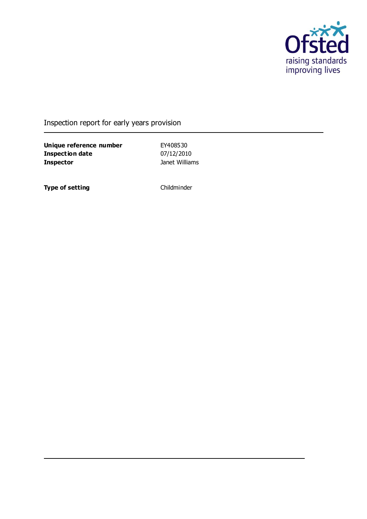

## Inspection report for early years provision

**Unique reference number** EY408530 **Inspection date** 07/12/2010 **Inspector Inspector Janet Williams** 

**Type of setting** Childminder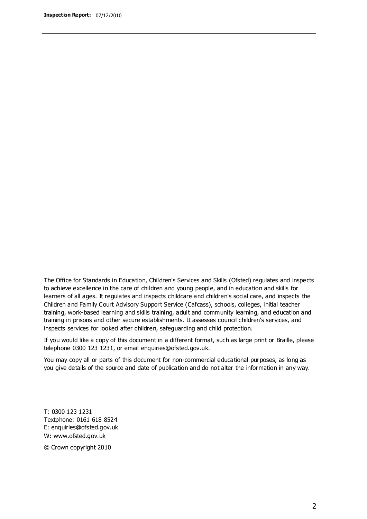The Office for Standards in Education, Children's Services and Skills (Ofsted) regulates and inspects to achieve excellence in the care of children and young people, and in education and skills for learners of all ages. It regulates and inspects childcare and children's social care, and inspects the Children and Family Court Advisory Support Service (Cafcass), schools, colleges, initial teacher training, work-based learning and skills training, adult and community learning, and education and training in prisons and other secure establishments. It assesses council children's services, and inspects services for looked after children, safeguarding and child protection.

If you would like a copy of this document in a different format, such as large print or Braille, please telephone 0300 123 1231, or email enquiries@ofsted.gov.uk.

You may copy all or parts of this document for non-commercial educational purposes, as long as you give details of the source and date of publication and do not alter the information in any way.

T: 0300 123 1231 Textphone: 0161 618 8524 E: enquiries@ofsted.gov.uk W: [www.ofsted.gov.uk](http://www.ofsted.gov.uk/)

© Crown copyright 2010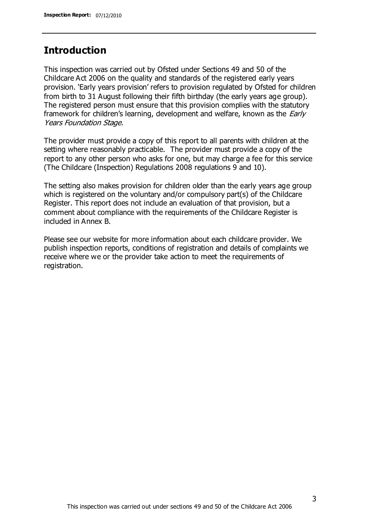### **Introduction**

This inspection was carried out by Ofsted under Sections 49 and 50 of the Childcare Act 2006 on the quality and standards of the registered early years provision. 'Early years provision' refers to provision regulated by Ofsted for children from birth to 31 August following their fifth birthday (the early years age group). The registered person must ensure that this provision complies with the statutory framework for children's learning, development and welfare, known as the *Early* Years Foundation Stage.

The provider must provide a copy of this report to all parents with children at the setting where reasonably practicable. The provider must provide a copy of the report to any other person who asks for one, but may charge a fee for this service (The Childcare (Inspection) Regulations 2008 regulations 9 and 10).

The setting also makes provision for children older than the early years age group which is registered on the voluntary and/or compulsory part(s) of the Childcare Register. This report does not include an evaluation of that provision, but a comment about compliance with the requirements of the Childcare Register is included in Annex B.

Please see our website for more information about each childcare provider. We publish inspection reports, conditions of registration and details of complaints we receive where we or the provider take action to meet the requirements of registration.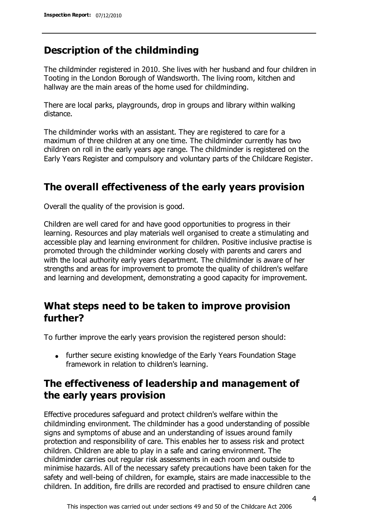## **Description of the childminding**

The childminder registered in 2010. She lives with her husband and four children in Tooting in the London Borough of Wandsworth. The living room, kitchen and hallway are the main areas of the home used for childminding.

There are local parks, playgrounds, drop in groups and library within walking distance.

The childminder works with an assistant. They are registered to care for a maximum of three children at any one time. The childminder currently has two children on roll in the early years age range. The childminder is registered on the Early Years Register and compulsory and voluntary parts of the Childcare Register.

## **The overall effectiveness of the early years provision**

Overall the quality of the provision is good.

Children are well cared for and have good opportunities to progress in their learning. Resources and play materials well organised to create a stimulating and accessible play and learning environment for children. Positive inclusive practise is promoted through the childminder working closely with parents and carers and with the local authority early years department. The childminder is aware of her strengths and areas for improvement to promote the quality of children's welfare and learning and development, demonstrating a good capacity for improvement.

## **What steps need to be taken to improve provision further?**

To further improve the early years provision the registered person should:

• further secure existing knowledge of the Early Years Foundation Stage framework in relation to children's learning.

## **The effectiveness of leadership and management of the early years provision**

Effective procedures safeguard and protect children's welfare within the childminding environment. The childminder has a good understanding of possible signs and symptoms of abuse and an understanding of issues around family protection and responsibility of care. This enables her to assess risk and protect children. Children are able to play in a safe and caring environment. The childminder carries out regular risk assessments in each room and outside to minimise hazards. All of the necessary safety precautions have been taken for the safety and well-being of children, for example, stairs are made inaccessible to the children. In addition, fire drills are recorded and practised to ensure children cane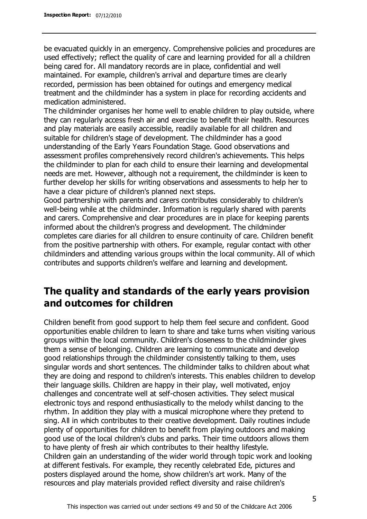be evacuated quickly in an emergency. Comprehensive policies and procedures are used effectively; reflect the quality of care and learning provided for all a children being cared for. All mandatory records are in place, confidential and well maintained. For example, children's arrival and departure times are clearly recorded, permission has been obtained for outings and emergency medical treatment and the childminder has a system in place for recording accidents and medication administered.

The childminder organises her home well to enable children to play outside, where they can regularly access fresh air and exercise to benefit their health. Resources and play materials are easily accessible, readily available for all children and suitable for children's stage of development. The childminder has a good understanding of the Early Years Foundation Stage. Good observations and assessment profiles comprehensively record children's achievements. This helps the childminder to plan for each child to ensure their learning and developmental needs are met. However, although not a requirement, the childminder is keen to further develop her skills for writing observations and assessments to help her to have a clear picture of children's planned next steps.

Good partnership with parents and carers contributes considerably to children's well-being while at the childminder. Information is regularly shared with parents and carers. Comprehensive and clear procedures are in place for keeping parents informed about the children's progress and development. The childminder completes care diaries for all children to ensure continuity of care. Children benefit from the positive partnership with others. For example, regular contact with other childminders and attending various groups within the local community. All of which contributes and supports children's welfare and learning and development.

## **The quality and standards of the early years provision and outcomes for children**

Children benefit from good support to help them feel secure and confident. Good opportunities enable children to learn to share and take turns when visiting various groups within the local community. Children's closeness to the childminder gives them a sense of belonging. Children are learning to communicate and develop good relationships through the childminder consistently talking to them, uses singular words and short sentences. The childminder talks to children about what they are doing and respond to children's interests. This enables children to develop their language skills. Children are happy in their play, well motivated, enjoy challenges and concentrate well at self-chosen activities. They select musical electronic toys and respond enthusiastically to the melody whilst dancing to the rhythm. In addition they play with a musical microphone where they pretend to sing. All in which contributes to their creative development. Daily routines include plenty of opportunities for children to benefit from playing outdoors and making good use of the local children's clubs and parks. Their time outdoors allows them to have plenty of fresh air which contributes to their healthy lifestyle. Children gain an understanding of the wider world through topic work and looking at different festivals. For example, they recently celebrated Ede, pictures and posters displayed around the home, show children's art work. Many of the resources and play materials provided reflect diversity and raise children's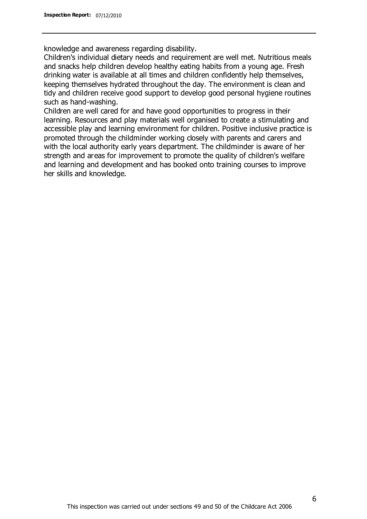knowledge and awareness regarding disability.

Children's individual dietary needs and requirement are well met. Nutritious meals and snacks help children develop healthy eating habits from a young age. Fresh drinking water is available at all times and children confidently help themselves, keeping themselves hydrated throughout the day. The environment is clean and tidy and children receive good support to develop good personal hygiene routines such as hand-washing.

Children are well cared for and have good opportunities to progress in their learning. Resources and play materials well organised to create a stimulating and accessible play and learning environment for children. Positive inclusive practice is promoted through the childminder working closely with parents and carers and with the local authority early years department. The childminder is aware of her strength and areas for improvement to promote the quality of children's welfare and learning and development and has booked onto training courses to improve her skills and knowledge.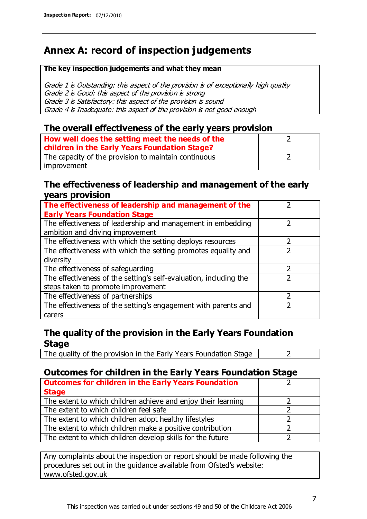## **Annex A: record of inspection judgements**

#### **The key inspection judgements and what they mean**

Grade 1 is Outstanding: this aspect of the provision is of exceptionally high quality Grade 2 is Good: this aspect of the provision is strong Grade 3 is Satisfactory: this aspect of the provision is sound Grade 4 is Inadequate: this aspect of the provision is not good enough

### **The overall effectiveness of the early years provision**

| How well does the setting meet the needs of the<br>children in the Early Years Foundation Stage? |  |
|--------------------------------------------------------------------------------------------------|--|
| The capacity of the provision to maintain continuous                                             |  |
| improvement                                                                                      |  |

### **The effectiveness of leadership and management of the early years provision**

| The effectiveness of leadership and management of the             |  |
|-------------------------------------------------------------------|--|
| <b>Early Years Foundation Stage</b>                               |  |
| The effectiveness of leadership and management in embedding       |  |
| ambition and driving improvement                                  |  |
| The effectiveness with which the setting deploys resources        |  |
| The effectiveness with which the setting promotes equality and    |  |
| diversity                                                         |  |
| The effectiveness of safeguarding                                 |  |
| The effectiveness of the setting's self-evaluation, including the |  |
| steps taken to promote improvement                                |  |
| The effectiveness of partnerships                                 |  |
| The effectiveness of the setting's engagement with parents and    |  |
| carers                                                            |  |

### **The quality of the provision in the Early Years Foundation Stage**

The quality of the provision in the Early Years Foundation Stage  $\vert$  2

### **Outcomes for children in the Early Years Foundation Stage**

| <b>Outcomes for children in the Early Years Foundation</b>    |  |
|---------------------------------------------------------------|--|
| <b>Stage</b>                                                  |  |
| The extent to which children achieve and enjoy their learning |  |
| The extent to which children feel safe                        |  |
| The extent to which children adopt healthy lifestyles         |  |
| The extent to which children make a positive contribution     |  |
| The extent to which children develop skills for the future    |  |

Any complaints about the inspection or report should be made following the procedures set out in the guidance available from Ofsted's website: www.ofsted.gov.uk